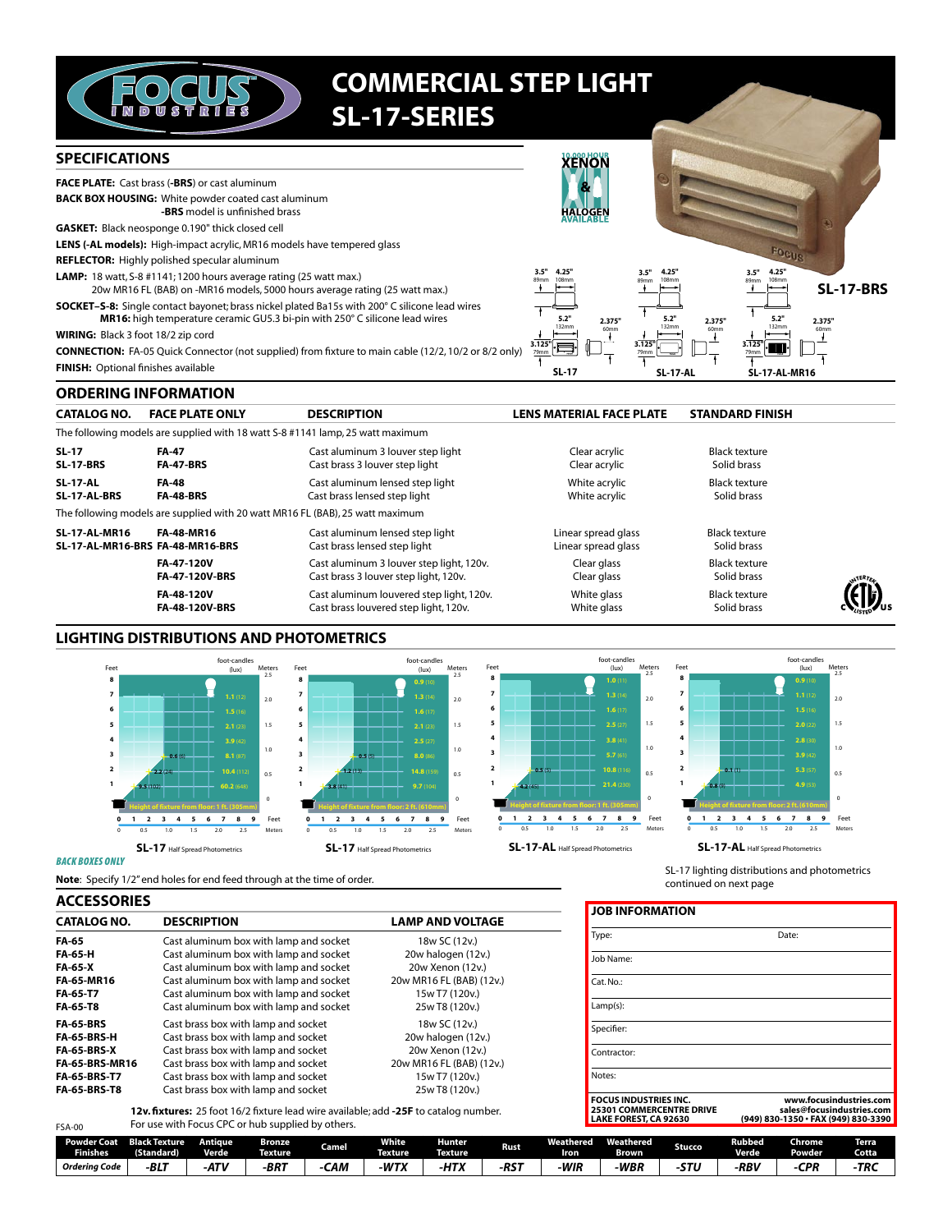

# **COMMERCIAL STEP LIGHT SL-17-SERIES**

#### **SPECIFICATIONS ENON** FACE PLATE: Cast brass (-BRS) or cast aluminum **BACK BOX HOUSING:** White powder coated cast aluminum -BRS model is unfinished brass **GASKET:** Black neosponge 0.190" thick closed cell LENS (-AL models): High-impact acrylic, MR16 models have tempered glass REFLECTOR: Highly polished specular aluminum  $3.5''$ LAMP: 18 watt, S-8 #1141; 1200 hours average rating (25 watt max.) 4.25 35 **SL-17-BRS** 20w MR16 FL (BAB) on -MR16 models, 5000 hours average rating (25 watt max.) SOCKET-S-8: Single contact bayonet; brass nickel plated Ba15s with 200° C silicone lead wires MR16: high temperature ceramic GU5.3 bi-pin with 250° C silicone lead wires  $2.375"$ 2.375 WIRING: Black 3 foot 18/2 zip cord Ï Ţ **CONNECTION:** FA-05 Quick Connector (not supplied) from fixture to main cable (12/2, 10/2 or 8/2 only) FINISH: Optional finishes available  $SL-17$ **SL-17-A SL-17-AL-MR16**

## **ORDERING INFORMATION**

| <b>CATALOG NO.</b>                                       | <b>FACE PLATE ONLY</b>              | <b>DESCRIPTION</b>                                                                | <b>LENS MATERIAL FACE PLATE</b>            | <b>STANDARD FINISH</b>              |  |
|----------------------------------------------------------|-------------------------------------|-----------------------------------------------------------------------------------|--------------------------------------------|-------------------------------------|--|
|                                                          |                                     | The following models are supplied with 18 watt S-8 #1141 lamp, 25 watt maximum    |                                            |                                     |  |
| <b>SL-17</b><br><b>SL-17-BRS</b>                         | <b>FA-47</b><br><b>FA-47-BRS</b>    | Cast aluminum 3 louver step light<br>Cast brass 3 louver step light               | Clear acrylic<br>Clear acrylic             | Black texture<br>Solid brass        |  |
| <b>SL-17-AL</b><br>SL-17-AL-BRS                          | <b>FA-48</b><br><b>FA-48-BRS</b>    | Cast aluminum lensed step light<br>Cast brass lensed step light                   | White acrylic<br>White acrylic             | Black texture<br>Solid brass        |  |
|                                                          |                                     | The following models are supplied with 20 watt MR16 FL (BAB), 25 watt maximum     |                                            |                                     |  |
| <b>SL-17-AL-MR16</b><br>SL-17-AL-MR16-BRS FA-48-MR16-BRS | <b>FA-48-MR16</b>                   | Cast aluminum lensed step light<br>Cast brass lensed step light                   | Linear spread glass<br>Linear spread glass | <b>Black texture</b><br>Solid brass |  |
|                                                          | FA-47-120V<br><b>FA-47-120V-BRS</b> | Cast aluminum 3 louver step light, 120v.<br>Cast brass 3 louver step light, 120v. | Clear glass<br>Clear glass                 | <b>Black texture</b><br>Solid brass |  |
|                                                          | FA-48-120V<br><b>FA-48-120V-BRS</b> | Cast aluminum louvered step light, 120v.<br>Cast brass louvered step light, 120v. | White glass<br>White glass                 | <b>Black texture</b><br>Solid brass |  |

## **LIGHTING DISTRIBUTIONS AND PHOTOMETRICS**



### **BACK BOXES ONLY**

 $FSA-00$ 

Note: Specify 1/2" end holes for end feed through at the time of order.

### **ACCESSORIES**

| <b>CATALOG NO.</b>    | <b>DESCRIPTION</b>                     | <b>LAMP AND VOLTAGE</b>  |
|-----------------------|----------------------------------------|--------------------------|
| FA-65                 | Cast aluminum box with lamp and socket | 18w SC (12v.)            |
| FA-65-H               | Cast aluminum box with lamp and socket | 20w halogen (12v.)       |
| <b>FA-65-X</b>        | Cast aluminum box with lamp and socket | 20w Xenon (12v.)         |
| FA-65-MR16            | Cast aluminum box with lamp and socket | 20w MR16 FL (BAB) (12v.) |
| FA-65-T7              | Cast aluminum box with lamp and socket | 15w T7 (120v.)           |
| FA-65-T8              | Cast aluminum box with lamp and socket | 25w T8 (120v.)           |
| <b>FA-65-BRS</b>      | Cast brass box with lamp and socket    | 18w SC (12v.)            |
| <b>FA-65-BRS-H</b>    | Cast brass box with lamp and socket    | 20w halogen (12v.)       |
| <b>FA-65-BRS-X</b>    | Cast brass box with lamp and socket    | 20w Xenon (12v.)         |
| <b>FA-65-BRS-MR16</b> | Cast brass box with lamp and socket    | 20w MR16 FL (BAB) (12v.) |
| <b>FA-65-BRS-T7</b>   | Cast brass box with lamp and socket    | 15w T7 (120v.)           |
| <b>FA-65-BRS-T8</b>   | Cast brass box with lamp and socket    | 25w T8 (120v.)           |
|                       |                                        |                          |

12v. fixtures: 25 foot 16/2 fixture lead wire available; add -25F to catalog number. For use with Focus CPC or hub supplied by others.

| Job Name:                                                                                |                                                                                             |
|------------------------------------------------------------------------------------------|---------------------------------------------------------------------------------------------|
| $Cat$ . No.:                                                                             |                                                                                             |
| $Lamp(s)$ :                                                                              |                                                                                             |
| Specifier:                                                                               |                                                                                             |
| Contractor:                                                                              |                                                                                             |
| Notes:                                                                                   |                                                                                             |
| <b>FOCUS INDUSTRIES INC.</b><br><b>25301 COMMERCENTRE DRIVE</b><br>LAKE FOREST, CA 92630 | www.focusindustries.com<br>sales@focusindustries.com<br>(949) 830-1350 · FAX (949) 830-3390 |

SL-17 lighting distributions and photometrics

Date:

continued on next page

**JOB INFORMATION** 

Type:

| Powder Coat .<br><b>Finishes</b> | <b>Black Texture</b><br>Standard) | Antique<br><b>Verde</b> | <b>Bronze</b><br><b>Texture</b> | Camel | <b>White</b><br><b>Texture</b> | Hunter<br><b>Texture</b> | Rust   | .<br>"eathered"<br>Iron | Weathered<br><b>Brown</b> | Stucco | Rubbed<br>Verde | --<br>Chrome<br>Powder | Terra.<br><b>Cotta</b> |
|----------------------------------|-----------------------------------|-------------------------|---------------------------------|-------|--------------------------------|--------------------------|--------|-------------------------|---------------------------|--------|-----------------|------------------------|------------------------|
| Orderina Code                    | $-BL7$                            | $-ATV$                  | $-BRT$                          | CAN   | -WTX                           | 11.1<br>-711 ^           | $-RST$ | -WIR                    | <b>WBR</b>                | c Ti   | -RBV            | rDD<br>гn              | -TRC                   |